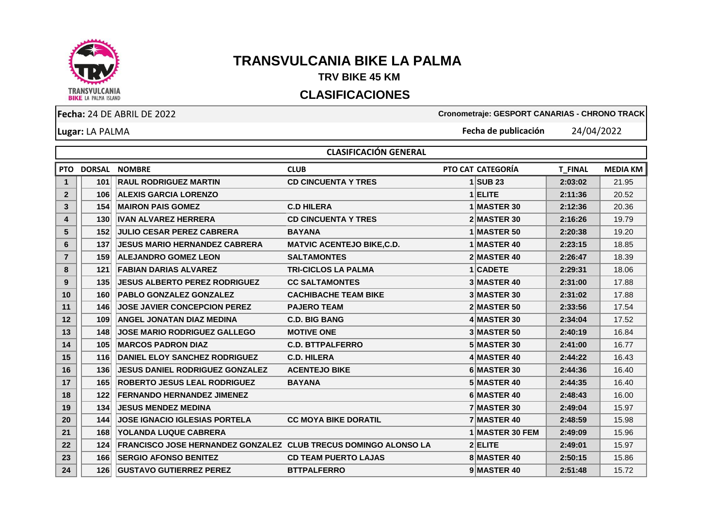

## **TRANSVULCANIA BIKE LA PALMA**

## **TRV BIKE 45 KM**

## **CLASIFICACIONES**

**Lugar:** LA PALMA

**Fecha:** 24 DE ABRIL DE 2022 **Cronometraje: GESPORT CANARIAS - CHRONO TRACK**

**Fecha de publicación** 24/04/2022

|                | <b>CLASIFICACIÓN GENERAL</b> |                                                                   |                                   |                    |                |                 |  |  |  |  |
|----------------|------------------------------|-------------------------------------------------------------------|-----------------------------------|--------------------|----------------|-----------------|--|--|--|--|
| <b>PTO</b>     | <b>DORSAL</b>                | <b>NOMBRE</b>                                                     | <b>CLUB</b>                       | PTO CAT CATEGORÍA  | <b>T_FINAL</b> | <b>MEDIA KM</b> |  |  |  |  |
| $\mathbf{1}$   | 101                          | <b>RAUL RODRIGUEZ MARTIN</b>                                      | <b>CD CINCUENTA Y TRES</b>        | $1$ SUB 23         | 2:03:02        | 21.95           |  |  |  |  |
| $\overline{2}$ | 106                          | <b>ALEXIS GARCIA LORENZO</b>                                      |                                   | 1 ELITE            | 2:11:36        | 20.52           |  |  |  |  |
| 3              | 154                          | <b>MAIRON PAIS GOMEZ</b>                                          | <b>C.D HILERA</b>                 | 1 MASTER 30        | 2:12:36        | 20.36           |  |  |  |  |
| 4              | 130                          | <b>IVAN ALVAREZ HERRERA</b>                                       | <b>CD CINCUENTA Y TRES</b>        | 2 MASTER 30        | 2:16:26        | 19.79           |  |  |  |  |
| 5              | 152                          | <b>JULIO CESAR PEREZ CABRERA</b>                                  | <b>BAYANA</b>                     | <b>1 MASTER 50</b> | 2:20:38        | 19.20           |  |  |  |  |
| 6              | 137                          | <b>IJESUS MARIO HERNANDEZ CABRERA</b>                             | <b>MATVIC ACENTEJO BIKE, C.D.</b> | 1 MASTER 40        | 2:23:15        | 18.85           |  |  |  |  |
| $\overline{7}$ | 159                          | <b>ALEJANDRO GOMEZ LEON</b>                                       | <b>SALTAMONTES</b>                | 2 MASTER 40        | 2:26:47        | 18.39           |  |  |  |  |
| 8              | 121                          | <b>FABIAN DARIAS ALVAREZ</b>                                      | <b>TRI-CICLOS LA PALMA</b>        | 1 CADETE           | 2:29:31        | 18.06           |  |  |  |  |
| 9              | 135                          | <b>JESUS ALBERTO PEREZ RODRIGUEZ</b>                              | <b>CC SALTAMONTES</b>             | 3 MASTER 40        | 2:31:00        | 17.88           |  |  |  |  |
| 10             | 160                          | <b>PABLO GONZALEZ GONZALEZ</b>                                    | <b>CACHIBACHE TEAM BIKE</b>       | 3 MASTER 30        | 2:31:02        | 17.88           |  |  |  |  |
| 11             | 146                          | <b>JOSE JAVIER CONCEPCION PEREZ</b>                               | <b>PAJERO TEAM</b>                | 2 MASTER 50        | 2:33:56        | 17.54           |  |  |  |  |
| 12             | 109                          | <b>ANGEL JONATAN DIAZ MEDINA</b>                                  | <b>C.D. BIG BANG</b>              | 4 MASTER 30        | 2:34:04        | 17.52           |  |  |  |  |
| 13             | 148                          | <b>JOSE MARIO RODRIGUEZ GALLEGO</b>                               | <b>MOTIVE ONE</b>                 | 3 MASTER 50        | 2:40:19        | 16.84           |  |  |  |  |
| 14             | 105                          | <b>MARCOS PADRON DIAZ</b>                                         | <b>C.D. BTTPALFERRO</b>           | 5 MASTER 30        | 2:41:00        | 16.77           |  |  |  |  |
| 15             | 116                          | <b>DANIEL ELOY SANCHEZ RODRIGUEZ</b>                              | <b>C.D. HILERA</b>                | 4 MASTER 40        | 2:44:22        | 16.43           |  |  |  |  |
| 16             | 136                          | <b>JESUS DANIEL RODRIGUEZ GONZALEZ</b>                            | <b>ACENTEJO BIKE</b>              | 6 MASTER 30        | 2:44:36        | 16.40           |  |  |  |  |
| 17             | 165                          | <b>ROBERTO JESUS LEAL RODRIGUEZ</b>                               | <b>BAYANA</b>                     | 5 MASTER 40        | 2:44:35        | 16.40           |  |  |  |  |
| 18             | 122                          | <b>FERNANDO HERNANDEZ JIMENEZ</b>                                 |                                   | 6 MASTER 40        | 2:48:43        | 16.00           |  |  |  |  |
| 19             | 134                          | <b>JESUS MENDEZ MEDINA</b>                                        |                                   | 7 MASTER 30        | 2:49:04        | 15.97           |  |  |  |  |
| 20             | 144                          | <b>JOSE IGNACIO IGLESIAS PORTELA</b>                              | <b>CC MOYA BIKE DORATIL</b>       | 7 MASTER 40        | 2:48:59        | 15.98           |  |  |  |  |
| 21             | 168                          | <b>YOLANDA LUQUE CABRERA</b>                                      |                                   | 1 MASTER 30 FEM    | 2:49:09        | 15.96           |  |  |  |  |
| 22             | 124                          | FRANCISCO JOSE HERNANDEZ GONZALEZ   CLUB TRECUS DOMINGO ALONSO LA |                                   | 2 ELITE            | 2:49:01        | 15.97           |  |  |  |  |
| 23             | 166                          | <b>SERGIO AFONSO BENITEZ</b>                                      | <b>CD TEAM PUERTO LAJAS</b>       | 8 MASTER 40        | 2:50:15        | 15.86           |  |  |  |  |
| 24             | 126                          | <b>GUSTAVO GUTIERREZ PEREZ</b>                                    | <b>BTTPALFERRO</b>                | 9 MASTER 40        | 2:51:48        | 15.72           |  |  |  |  |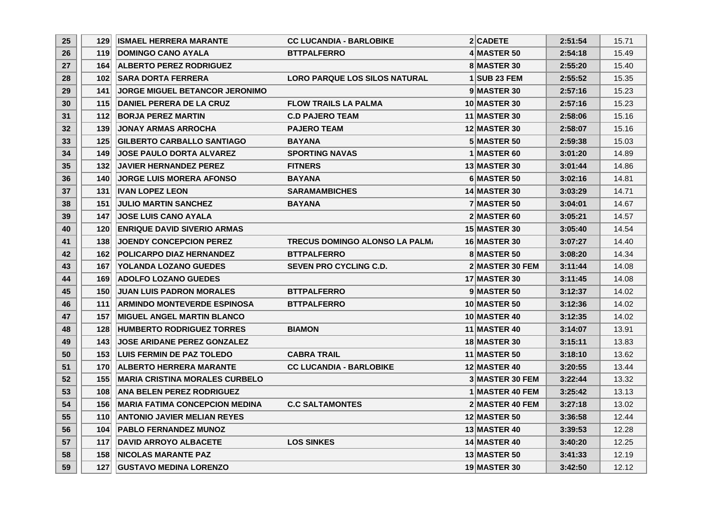| 25 <sub>2</sub> | 129              | <b>ISMAEL HERRERA MARANTE</b>          | <b>CC LUCANDIA - BARLOBIKE</b>       | 2 CADETE               | 2:51:54 | 15.71 |
|-----------------|------------------|----------------------------------------|--------------------------------------|------------------------|---------|-------|
| 26              | 119              | <b>DOMINGO CANO AYALA</b>              | <b>BTTPALFERRO</b>                   | 4 MASTER 50            | 2:54:18 | 15.49 |
| 27              | 164              | <b>ALBERTO PEREZ RODRIGUEZ</b>         |                                      | 8 MASTER 30            | 2:55:20 | 15.40 |
| 28              | 102 <sub>1</sub> | <b>SARA DORTA FERRERA</b>              | <b>LORO PARQUE LOS SILOS NATURAL</b> | $1$ SUB 23 FEM         | 2:55:52 | 15.35 |
| 29              | 141              | <b>JORGE MIGUEL BETANCOR JERONIMO</b>  |                                      | 9 MASTER 30            | 2:57:16 | 15.23 |
| 30              | 115              | <b>DANIEL PERERA DE LA CRUZ</b>        | <b>FLOW TRAILS LA PALMA</b>          | <b>10 MASTER 30</b>    | 2:57:16 | 15.23 |
| 31              | 112              | <b>BORJA PEREZ MARTIN</b>              | <b>C.D PAJERO TEAM</b>               | <b>11 MASTER 30</b>    | 2:58:06 | 15.16 |
| 32              | 139              | <b>JONAY ARMAS ARROCHA</b>             | <b>PAJERO TEAM</b>                   | <b>12 MASTER 30</b>    | 2:58:07 | 15.16 |
| 33              | 125              | <b>GILBERTO CARBALLO SANTIAGO</b>      | <b>BAYANA</b>                        | <b>5 MASTER 50</b>     | 2:59:38 | 15.03 |
| 34              | 149              | <b>JOSE PAULO DORTA ALVAREZ</b>        | <b>SPORTING NAVAS</b>                | 1 MASTER 60            | 3:01:20 | 14.89 |
| 35              | 132              | <b>JAVIER HERNANDEZ PEREZ</b>          | <b>FITNERS</b>                       | <b>13 MASTER 30</b>    | 3:01:44 | 14.86 |
| 36              | 140              | <b>JORGE LUIS MORERA AFONSO</b>        | <b>BAYANA</b>                        | 6 MASTER 50            | 3:02:16 | 14.81 |
| 37              | 131              | <b>IVAN LOPEZ LEON</b>                 | <b>SARAMAMBICHES</b>                 | <b>14 MASTER 30</b>    | 3:03:29 | 14.71 |
| 38              | 151              | <b>JULIO MARTIN SANCHEZ</b>            | <b>BAYANA</b>                        | 7 MASTER 50            | 3:04:01 | 14.67 |
| 39              | 147              | <b>JOSE LUIS CANO AYALA</b>            |                                      | 2 MASTER 60            | 3:05:21 | 14.57 |
| 40              | 120              | <b>ENRIQUE DAVID SIVERIO ARMAS</b>     |                                      | <b>15 MASTER 30</b>    | 3:05:40 | 14.54 |
| 41              | 138              | <b>JOENDY CONCEPCION PEREZ</b>         | TRECUS DOMINGO ALONSO LA PALM.       | <b>16 MASTER 30</b>    | 3:07:27 | 14.40 |
| 42              | 162              | <b>POLICARPO DIAZ HERNANDEZ</b>        | <b>BTTPALFERRO</b>                   | 8 MASTER 50            | 3:08:20 | 14.34 |
| 43              | 167              | <b>YOLANDA LOZANO GUEDES</b>           | <b>SEVEN PRO CYCLING C.D.</b>        | <b>2 MASTER 30 FEM</b> | 3:11:44 | 14.08 |
| 44              | 169              | <b>ADOLFO LOZANO GUEDES</b>            |                                      | <b>17 MASTER 30</b>    | 3:11:45 | 14.08 |
| 45              | 150              | <b>JUAN LUIS PADRON MORALES</b>        | <b>BTTPALFERRO</b>                   | 9 MASTER 50            | 3:12:37 | 14.02 |
| 46              | 111              | <b>ARMINDO MONTEVERDE ESPINOSA</b>     | <b>BTTPALFERRO</b>                   | <b>10 MASTER 50</b>    | 3:12:36 | 14.02 |
| 47              | 157              | <b>IMIGUEL ANGEL MARTIN BLANCO</b>     |                                      | 10 MASTER 40           | 3:12:35 | 14.02 |
| 48              | 128              | <b>HUMBERTO RODRIGUEZ TORRES</b>       | <b>BIAMON</b>                        | <b>11 MASTER 40</b>    | 3:14:07 | 13.91 |
| 49              | 143              | <b>JOSE ARIDANE PEREZ GONZALEZ</b>     |                                      | <b>18 MASTER 30</b>    | 3:15:11 | 13.83 |
| 50              | 153              | <b>LUIS FERMIN DE PAZ TOLEDO</b>       | <b>CABRA TRAIL</b>                   | <b>11 MASTER 50</b>    | 3:18:10 | 13.62 |
| 51              | 170              | <b>ALBERTO HERRERA MARANTE</b>         | <b>CC LUCANDIA - BARLOBIKE</b>       | <b>12 MASTER 40</b>    | 3:20:55 | 13.44 |
| 52              | 155              | <b>IMARIA CRISTINA MORALES CURBELO</b> |                                      | <b>3 MASTER 30 FEM</b> | 3:22:44 | 13.32 |
| 53              | 108              | <b>ANA BELEN PEREZ RODRIGUEZ</b>       |                                      | <b>1 MASTER 40 FEM</b> | 3:25:42 | 13.13 |
| 54              | 156              | <b>IMARIA FATIMA CONCEPCION MEDINA</b> | <b>C.C SALTAMONTES</b>               | 2 MASTER 40 FEM        | 3:27:18 | 13.02 |
| 55              | 110              | <b>ANTONIO JAVIER MELIAN REYES</b>     |                                      | <b>12 MASTER 50</b>    | 3:36:58 | 12.44 |
| 56              | 104              | <b>PABLO FERNANDEZ MUNOZ</b>           |                                      | 13 MASTER 40           | 3:39:53 | 12.28 |
| 57              | 117              | <b>DAVID ARROYO ALBACETE</b>           | <b>LOS SINKES</b>                    | <b>14 MASTER 40</b>    | 3:40:20 | 12.25 |
| 58              | 158              | <b>NICOLAS MARANTE PAZ</b>             |                                      | <b>13 MASTER 50</b>    | 3:41:33 | 12.19 |
| 59              | 127              | <b>GUSTAVO MEDINA LORENZO</b>          |                                      | <b>19 MASTER 30</b>    | 3:42:50 | 12.12 |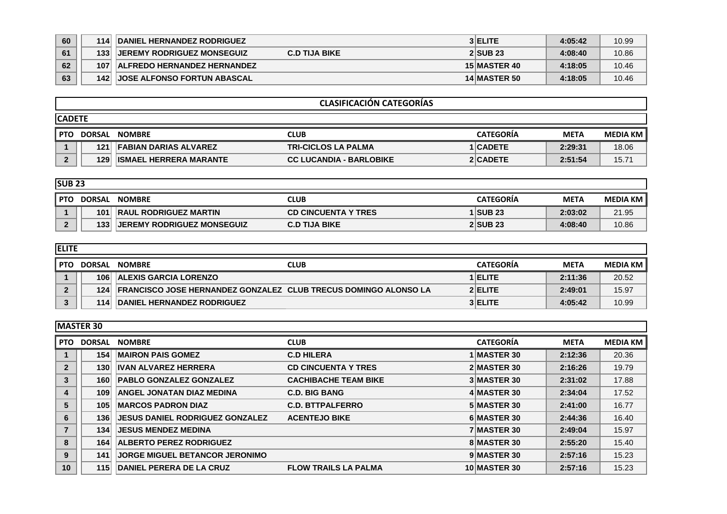| 60 | 114              | <b>DANIEL HERNANDEZ RODRIGUEZ</b>                          | 3 ELITE             | 4:05:42 | 10.99 |
|----|------------------|------------------------------------------------------------|---------------------|---------|-------|
| 61 | 133              | <b>IJEREMY RODRIGUEZ MONSEGUIZ</b><br><b>C.D TIJA BIKE</b> | <b>2 SUB 23</b>     | 4:08:40 | 10.86 |
| 62 | 107 <sup>1</sup> | <b>ALFREDO HERNANDEZ HERNANDEZ</b>                         | 15 MASTER 40        | 4:18:05 | 10.46 |
| 63 | 1421             | <b>JOSE ALFONSO FORTUN ABASCAL</b>                         | <b>14 MASTER 50</b> | 4:18:05 | 10.46 |

|     | <b>CLASIFICACIÓN CATEGORÍAS</b> |                                  |                                |                  |             |                 |  |  |  |  |
|-----|---------------------------------|----------------------------------|--------------------------------|------------------|-------------|-----------------|--|--|--|--|
|     | <b>ICADETE</b>                  |                                  |                                |                  |             |                 |  |  |  |  |
| PTO | <b>DORSAL</b>                   | <b>NOMBRE</b>                    | CLUB                           | <b>CATEGORIA</b> | <b>META</b> | <b>MEDIA KM</b> |  |  |  |  |
|     |                                 | <b>121 FABIAN DARIAS ALVAREZ</b> | <b>TRI-CICLOS LA PALMA</b>     | 1 CADETE         | 2:29:31     | 18.06           |  |  |  |  |
|     | 129                             | <b>ISMAEL HERRERA MARANTE</b>    | <b>CC LUCANDIA - BARLOBIKE</b> | 2 CADETE         | 2:51:54     | 15.71           |  |  |  |  |

|            | <b>SUB 23</b>    |                                   |                            |                  |             |                 |  |  |  |  |
|------------|------------------|-----------------------------------|----------------------------|------------------|-------------|-----------------|--|--|--|--|
| <b>PTO</b> | <b>DORSAL</b>    | <b>NOMBRE</b>                     | CLUB                       | <b>CATEGORIA</b> | <b>META</b> | <b>MEDIA KM</b> |  |  |  |  |
|            | 101              | <b>RAUL RODRIGUEZ MARTIN</b>      | <b>CD CINCUENTA Y TRES</b> | <b>1 SUB 23</b>  | 2:03:02     | 21.95           |  |  |  |  |
|            | 133 <sup>1</sup> | <b>JEREMY RODRIGUEZ MONSEGUIZ</b> | <b>C.D TIJA BIKE</b>       | $2$ SUB $23$     | 4:08:40     | 10.86           |  |  |  |  |

| <b>ELITE</b> |               |                                                                        |                  |             |                 |  |  |  |  |
|--------------|---------------|------------------------------------------------------------------------|------------------|-------------|-----------------|--|--|--|--|
| l PTO        | <b>DORSAL</b> | <b>NOMBRE</b><br>CLUB                                                  | <b>CATEGORIA</b> | <b>META</b> | <b>MEDIA KM</b> |  |  |  |  |
|              | 106           | <b>ALEXIS GARCIA LORENZO</b>                                           | 1 ELITE          | 2:11:36     | 20.52           |  |  |  |  |
|              | 124           | <b>FRANCISCO JOSE HERNANDEZ GONZALEZ CLUB TRECUS DOMINGO ALONSO LA</b> | 2 ELITE          | 2:49:01     | 15.97           |  |  |  |  |
|              | 114           | DANIEL HERNANDEZ RODRIGUEZ                                             | 3 ELITE          | 4:05:42     | 10.99           |  |  |  |  |

|              | <b>IMASTER 30</b> |                                        |                             |  |                    |             |                 |  |  |  |
|--------------|-------------------|----------------------------------------|-----------------------------|--|--------------------|-------------|-----------------|--|--|--|
| <b>PTO</b>   | <b>DORSAL</b>     | <b>NOMBRE</b>                          | <b>CLUB</b>                 |  | <b>CATEGORIA</b>   | <b>META</b> | <b>MEDIA KM</b> |  |  |  |
|              | 154               | <b>IMAIRON PAIS GOMEZ</b>              | <b>C.D HILERA</b>           |  | 1 MASTER 30        | 2:12:36     | 20.36           |  |  |  |
| $\mathbf{2}$ | 130               | <b>IVAN ALVAREZ HERRERA</b>            | <b>CD CINCUENTA Y TRES</b>  |  | 2 MASTER 30        | 2:16:26     | 19.79           |  |  |  |
| 3            | 160               | <b>PABLO GONZALEZ GONZALEZ</b>         | <b>CACHIBACHE TEAM BIKE</b> |  | <b>3 MASTER 30</b> | 2:31:02     | 17.88           |  |  |  |
| 4            | 109               | <b>ANGEL JONATAN DIAZ MEDINA</b>       | <b>C.D. BIG BANG</b>        |  | 4 MASTER 30        | 2:34:04     | 17.52           |  |  |  |
| 5            | 105               | <b>MARCOS PADRON DIAZ</b>              | <b>C.D. BTTPALFERRO</b>     |  | 5 MASTER 30        | 2:41:00     | 16.77           |  |  |  |
| 6            | 136               | <b>JESUS DANIEL RODRIGUEZ GONZALEZ</b> | <b>ACENTEJO BIKE</b>        |  | 6 MASTER 30        | 2:44:36     | 16.40           |  |  |  |
|              | 134               | <b>JESUS MENDEZ MEDINA</b>             |                             |  | <b>7 MASTER 30</b> | 2:49:04     | 15.97           |  |  |  |
| 8            | 164               | <b>ALBERTO PEREZ RODRIGUEZ</b>         |                             |  | 8 MASTER 30        | 2:55:20     | 15.40           |  |  |  |
| 9            | 141               | <b>JORGE MIGUEL BETANCOR JERONIMO</b>  |                             |  | 9 MASTER 30        | 2:57:16     | 15.23           |  |  |  |
| 10           | 115               | <b>DANIEL PERERA DE LA CRUZ</b>        | <b>FLOW TRAILS LA PALMA</b> |  | 10 MASTER 30       | 2:57:16     | 15.23           |  |  |  |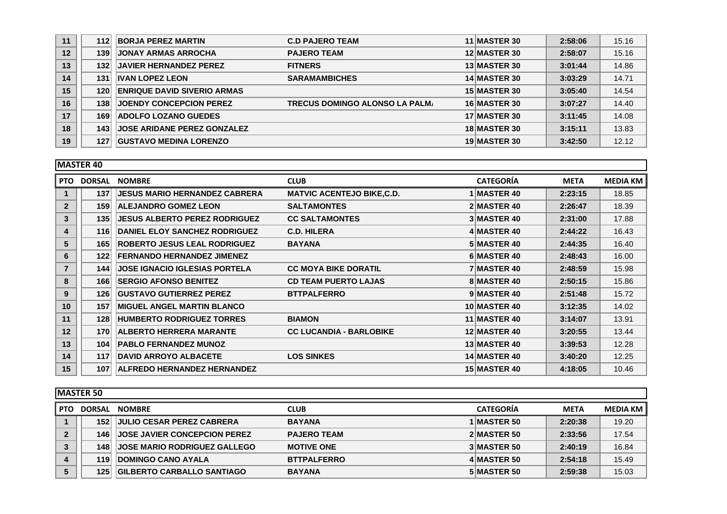| 11 | 112 | <b>BORJA PEREZ MARTIN</b>          | <b>C.D PAJERO TEAM</b>                | 11 MASTER 30        | 2:58:06 | 15.16 |
|----|-----|------------------------------------|---------------------------------------|---------------------|---------|-------|
| 12 | 139 | <b>JONAY ARMAS ARROCHA</b>         | <b>PAJERO TEAM</b>                    | <b>12 MASTER 30</b> | 2:58:07 | 15.16 |
| 13 | 132 | <b>JAVIER HERNANDEZ PEREZ</b>      | <b>FITNERS</b>                        | 13 MASTER 30        | 3:01:44 | 14.86 |
| 14 | 131 | <b>IVAN LOPEZ LEON</b>             | <b>SARAMAMBICHES</b>                  | <b>14 MASTER 30</b> | 3:03:29 | 14.71 |
| 15 | 120 | <b>ENRIQUE DAVID SIVERIO ARMAS</b> |                                       | 15 MASTER 30        | 3:05:40 | 14.54 |
| 16 | 138 | <b>JOENDY CONCEPCION PEREZ</b>     | <b>TRECUS DOMINGO ALONSO LA PALM.</b> | <b>16 MASTER 30</b> | 3:07:27 | 14.40 |
| 17 | 169 | <b>ADOLFO LOZANO GUEDES</b>        |                                       | 17 MASTER 30        | 3:11:45 | 14.08 |
| 18 | 143 | <b>JOSE ARIDANE PEREZ GONZALEZ</b> |                                       | <b>18 MASTER 30</b> | 3:15:11 | 13.83 |
| 19 | 127 | <b>GUSTAVO MEDINA LORENZO</b>      |                                       | <b>19 MASTER 30</b> | 3:42:50 | 12.12 |

|                | <b>MASTER 40</b> |                                      |                                   |  |                     |             |                 |  |  |  |
|----------------|------------------|--------------------------------------|-----------------------------------|--|---------------------|-------------|-----------------|--|--|--|
| <b>PTO</b>     | <b>DORSAL</b>    | <b>NOMBRE</b>                        | <b>CLUB</b>                       |  | <b>CATEGORÍA</b>    | <b>META</b> | <b>MEDIA KM</b> |  |  |  |
|                | 137              | <b>JESUS MARIO HERNANDEZ CABRERA</b> | <b>MATVIC ACENTEJO BIKE, C.D.</b> |  | 1 MASTER 40         | 2:23:15     | 18.85           |  |  |  |
| $\overline{2}$ | 159              | <b>ALEJANDRO GOMEZ LEON</b>          | <b>SALTAMONTES</b>                |  | 2 MASTER 40         | 2:26:47     | 18.39           |  |  |  |
| 3              | 135              | <b>JESUS ALBERTO PEREZ RODRIGUEZ</b> | <b>CC SALTAMONTES</b>             |  | <b>3 MASTER 40</b>  | 2:31:00     | 17.88           |  |  |  |
| 4              | 116              | <b>DANIEL ELOY SANCHEZ RODRIGUEZ</b> | <b>C.D. HILERA</b>                |  | 4 MASTER 40         | 2:44:22     | 16.43           |  |  |  |
| 5              | 165              | <b>ROBERTO JESUS LEAL RODRIGUEZ</b>  | <b>BAYANA</b>                     |  | 5 MASTER 40         | 2:44:35     | 16.40           |  |  |  |
| 6              | 122              | <b>FERNANDO HERNANDEZ JIMENEZ</b>    |                                   |  | 6 MASTER 40         | 2:48:43     | 16.00           |  |  |  |
|                | 144              | <b>JOSE IGNACIO IGLESIAS PORTELA</b> | <b>CC MOYA BIKE DORATIL</b>       |  | <b>7 MASTER 40</b>  | 2:48:59     | 15.98           |  |  |  |
| 8              | 166              | <b>ISERGIO AFONSO BENITEZ</b>        | <b>CD TEAM PUERTO LAJAS</b>       |  | 8 MASTER 40         | 2:50:15     | 15.86           |  |  |  |
| 9              | 126              | <b>GUSTAVO GUTIERREZ PEREZ</b>       | <b>BTTPALFERRO</b>                |  | 9 MASTER 40         | 2:51:48     | 15.72           |  |  |  |
| 10             | 157              | <b>IMIGUEL ANGEL MARTIN BLANCO</b>   |                                   |  | <b>10 MASTER 40</b> | 3:12:35     | 14.02           |  |  |  |
| 11             | 128              | <b>HUMBERTO RODRIGUEZ TORRES</b>     | <b>BIAMON</b>                     |  | <b>11 MASTER 40</b> | 3:14:07     | 13.91           |  |  |  |
| 12             | 170              | <b>ALBERTO HERRERA MARANTE</b>       | <b>CC LUCANDIA - BARLOBIKE</b>    |  | <b>12 MASTER 40</b> | 3:20:55     | 13.44           |  |  |  |
| 13             | 104              | <b>PABLO FERNANDEZ MUNOZ</b>         |                                   |  | 13 MASTER 40        | 3:39:53     | 12.28           |  |  |  |
| 14             | 117              | <b>DAVID ARROYO ALBACETE</b>         | <b>LOS SINKES</b>                 |  | 14 MASTER 40        | 3:40:20     | 12.25           |  |  |  |
| 15             | 107              | <b>ALFREDO HERNANDEZ HERNANDEZ</b>   |                                   |  | <b>15 MASTER 40</b> | 4:18:05     | 10.46           |  |  |  |

|            | <b>MASTER 50</b> |                                     |                    |                  |             |                 |  |  |  |  |
|------------|------------------|-------------------------------------|--------------------|------------------|-------------|-----------------|--|--|--|--|
| <b>PTO</b> | <b>DORSAL</b>    | <b>NOMBRE</b>                       | <b>CLUB</b>        | <b>CATEGORÍA</b> | <b>META</b> | <b>MEDIA KM</b> |  |  |  |  |
|            | 152              | <b>JULIO CESAR PEREZ CABRERA</b>    | <b>BAYANA</b>      | 1 MASTER 50      | 2:20:38     | 19.20           |  |  |  |  |
|            | 146              | <b>JOSE JAVIER CONCEPCION PEREZ</b> | <b>PAJERO TEAM</b> | 2 MASTER 50      | 2:33:56     | 17.54           |  |  |  |  |
|            | 148              | <b>JOSE MARIO RODRIGUEZ GALLEGO</b> | <b>MOTIVE ONE</b>  | 3 MASTER 50      | 2:40:19     | 16.84           |  |  |  |  |
| 4          | 119              | <b>DOMINGO CANO AYALA</b>           | <b>BTTPALFERRO</b> | 4 MASTER 50      | 2:54:18     | 15.49           |  |  |  |  |
| 5          | 125              | <b>GILBERTO CARBALLO SANTIAGO</b>   | <b>BAYANA</b>      | 5 MASTER 50      | 2:59:38     | 15.03           |  |  |  |  |